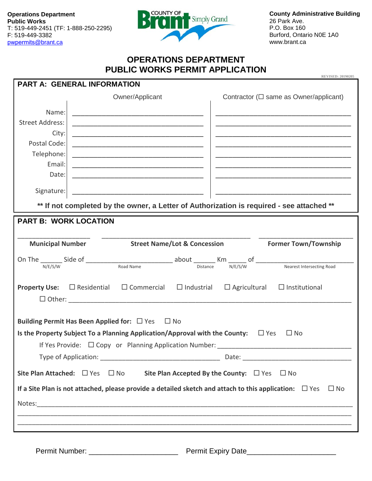**Operations Department Public Works** T: 519-449-2451 (TF: 1-888-250-2295) F: 519-449-3382 pwpermits[@brant.ca](mailto:publicworks@brant.ca)



**County Administrative Building** 26 Park Ave. P.O. Box 160 Burford, Ontario N0E 1A0 www.brant.ca

## **OPERATIONS DEPARTMENT PUBLIC WORKS PERMIT APPLICATION**

| <b>REVISED: 20190205</b><br><b>PART A: GENERAL INFORMATION</b>                                                              |                                                                                                                                                                     |                                              |  |  |  |
|-----------------------------------------------------------------------------------------------------------------------------|---------------------------------------------------------------------------------------------------------------------------------------------------------------------|----------------------------------------------|--|--|--|
|                                                                                                                             | Owner/Applicant                                                                                                                                                     | Contractor ( $\Box$ same as Owner/applicant) |  |  |  |
| Name:                                                                                                                       | <u> 1989 - Johann John Stone, mars eta biztanleria (h. 1989).</u>                                                                                                   |                                              |  |  |  |
| <b>Street Address:</b>                                                                                                      | <u> 1999 - Johann John Stone, mars et al. (</u>                                                                                                                     |                                              |  |  |  |
| City:                                                                                                                       | <u> 1980 - Johann John Harry, mars and de final and design and design and design and design and design and design </u>                                              |                                              |  |  |  |
| Postal Code:                                                                                                                | <u> 1989 - Johann John Stone, mars et al. (1989)</u>                                                                                                                |                                              |  |  |  |
| Telephone:                                                                                                                  |                                                                                                                                                                     |                                              |  |  |  |
| Email:                                                                                                                      | <u> 1989 - Johann John Harry Harry Harry Harry Harry Harry Harry Harry Harry Harry Harry Harry Harry Harry Harry H</u>                                              |                                              |  |  |  |
| Date:                                                                                                                       | <u> 1980 - Johann John Stone, mars eta biztanleria (h. 1980).</u>                                                                                                   |                                              |  |  |  |
| Signature:                                                                                                                  |                                                                                                                                                                     |                                              |  |  |  |
|                                                                                                                             | ** If not completed by the owner, a Letter of Authorization is required - see attached **                                                                           |                                              |  |  |  |
| <b>PART B: WORK LOCATION</b>                                                                                                |                                                                                                                                                                     |                                              |  |  |  |
|                                                                                                                             |                                                                                                                                                                     |                                              |  |  |  |
|                                                                                                                             | Municipal Number Street Name/Lot & Concession                                                                                                                       | <b>Former Town/Township</b>                  |  |  |  |
|                                                                                                                             | On The $\frac{1}{N/E/S/W}$ Side of $\frac{1}{N/E/S/W}$ about $\frac{1}{N/E/S/W}$ $\frac{1}{N/E/S/W}$ of $\frac{1}{N/E/S/W}$ $\frac{1}{N/E/S/W}$ $\frac{1}{N/E/S/W}$ |                                              |  |  |  |
|                                                                                                                             |                                                                                                                                                                     |                                              |  |  |  |
| $\Box$ Commercial $\Box$ Industrial $\Box$ Agricultural $\Box$ Institutional<br><b>Property Use:</b><br>$\Box$ Residential  |                                                                                                                                                                     |                                              |  |  |  |
|                                                                                                                             |                                                                                                                                                                     |                                              |  |  |  |
|                                                                                                                             |                                                                                                                                                                     |                                              |  |  |  |
|                                                                                                                             | Building Permit Has Been Applied for: $\Box$ Yes $\Box$ No                                                                                                          |                                              |  |  |  |
|                                                                                                                             | Is the Property Subject To a Planning Application/Approval with the County: $\Box$ Yes                                                                              | $\Box$ No                                    |  |  |  |
|                                                                                                                             | If Yes Provide: $\Box$ Copy or Planning Application Number:                                                                                                         |                                              |  |  |  |
|                                                                                                                             |                                                                                                                                                                     |                                              |  |  |  |
| Site Plan Attached: $\Box$ Yes $\Box$ No Site Plan Accepted By the County: $\Box$ Yes $\Box$ No                             |                                                                                                                                                                     |                                              |  |  |  |
| If a Site Plan is not attached, please provide a detailed sketch and attach to this application: $\Box$ Yes<br>$\square$ No |                                                                                                                                                                     |                                              |  |  |  |
|                                                                                                                             |                                                                                                                                                                     |                                              |  |  |  |
|                                                                                                                             |                                                                                                                                                                     |                                              |  |  |  |
|                                                                                                                             |                                                                                                                                                                     |                                              |  |  |  |
|                                                                                                                             |                                                                                                                                                                     |                                              |  |  |  |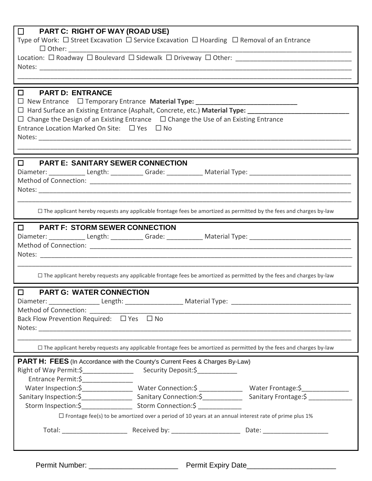| $\Box$<br><b>PART C: RIGHT OF WAY (ROAD USE)</b>                                                                                                                                                                               |                                                                                                                            |                                                                                                              |  |  |  |
|--------------------------------------------------------------------------------------------------------------------------------------------------------------------------------------------------------------------------------|----------------------------------------------------------------------------------------------------------------------------|--------------------------------------------------------------------------------------------------------------|--|--|--|
| Type of Work: $\Box$ Street Excavation $\Box$ Service Excavation $\Box$ Hoarding $\Box$ Removal of an Entrance<br>$\Box$ Other:                                                                                                |                                                                                                                            |                                                                                                              |  |  |  |
|                                                                                                                                                                                                                                |                                                                                                                            |                                                                                                              |  |  |  |
| Notes: Notes: Notes: Notes: Notes: Notes: Notes: Notes: Notes: Notes: Notes: Notes: Notes: Notes: Notes: Notes: Notes: Notes: Notes: Notes: Notes: Notes: Notes: Notes: Notes: Notes: Notes: Notes: Notes: Notes: Notes: Notes |                                                                                                                            |                                                                                                              |  |  |  |
|                                                                                                                                                                                                                                |                                                                                                                            |                                                                                                              |  |  |  |
| <b>PART D: ENTRANCE</b><br>$\Box$<br>□ New Entrance □ Temporary Entrance Material Type: _____________________________                                                                                                          |                                                                                                                            |                                                                                                              |  |  |  |
| □ Hard Surface an Existing Entrance (Asphalt, Concrete, etc.) Material Type: _________________________________                                                                                                                 |                                                                                                                            |                                                                                                              |  |  |  |
| $\Box$ Change the Design of an Existing Entrance $\Box$ Change the Use of an Existing Entrance                                                                                                                                 |                                                                                                                            |                                                                                                              |  |  |  |
| Entrance Location Marked On Site: $\Box$ Yes $\Box$ No                                                                                                                                                                         |                                                                                                                            |                                                                                                              |  |  |  |
|                                                                                                                                                                                                                                |                                                                                                                            |                                                                                                              |  |  |  |
|                                                                                                                                                                                                                                |                                                                                                                            |                                                                                                              |  |  |  |
| <b>DEARTE: SANITARY SEWER CONNECTION</b><br>Diameter: ______________Length: ____________Grade: ______________Material Type: ______________________________                                                                     |                                                                                                                            |                                                                                                              |  |  |  |
|                                                                                                                                                                                                                                |                                                                                                                            |                                                                                                              |  |  |  |
| Notes: Notes:                                                                                                                                                                                                                  |                                                                                                                            |                                                                                                              |  |  |  |
|                                                                                                                                                                                                                                |                                                                                                                            |                                                                                                              |  |  |  |
|                                                                                                                                                                                                                                | $\Box$ The applicant hereby requests any applicable frontage fees be amortized as permitted by the fees and charges by-law |                                                                                                              |  |  |  |
| <b>DEARTE: STORM SEWER CONNECTION</b>                                                                                                                                                                                          |                                                                                                                            |                                                                                                              |  |  |  |
| Diameter: ______________Length: ____________Grade: _______________Material Type: _____________________________                                                                                                                 |                                                                                                                            |                                                                                                              |  |  |  |
|                                                                                                                                                                                                                                |                                                                                                                            |                                                                                                              |  |  |  |
|                                                                                                                                                                                                                                |                                                                                                                            |                                                                                                              |  |  |  |
|                                                                                                                                                                                                                                | □ The applicant hereby requests any applicable frontage fees be amortized as permitted by the fees and charges by-law      |                                                                                                              |  |  |  |
|                                                                                                                                                                                                                                |                                                                                                                            |                                                                                                              |  |  |  |
| <b>PART G: WATER CONNECTION</b><br>$\Box$<br>Diameter: ____________________Length: __________________________Material Type: _______________________________                                                                    |                                                                                                                            |                                                                                                              |  |  |  |
| Method of Connection: ________________                                                                                                                                                                                         |                                                                                                                            |                                                                                                              |  |  |  |
| Back Flow Prevention Required: □ Yes □ No                                                                                                                                                                                      |                                                                                                                            |                                                                                                              |  |  |  |
|                                                                                                                                                                                                                                |                                                                                                                            |                                                                                                              |  |  |  |
| □ The applicant hereby requests any applicable frontage fees be amortized as permitted by the fees and charges by-law                                                                                                          |                                                                                                                            |                                                                                                              |  |  |  |
| <b>PART H: FEES</b> (In Accordance with the County's Current Fees & Charges By-Law)                                                                                                                                            |                                                                                                                            |                                                                                                              |  |  |  |
|                                                                                                                                                                                                                                |                                                                                                                            |                                                                                                              |  |  |  |
| Entrance Permit:\$_________________                                                                                                                                                                                            |                                                                                                                            |                                                                                                              |  |  |  |
|                                                                                                                                                                                                                                |                                                                                                                            | Water Inspection:\$____________________Water Connection:\$ _______________Water Frontage:\$_________________ |  |  |  |
|                                                                                                                                                                                                                                |                                                                                                                            |                                                                                                              |  |  |  |
|                                                                                                                                                                                                                                | $\Box$ Frontage fee(s) to be amortized over a period of 10 years at an annual interest rate of prime plus 1%               |                                                                                                              |  |  |  |
|                                                                                                                                                                                                                                |                                                                                                                            |                                                                                                              |  |  |  |
|                                                                                                                                                                                                                                |                                                                                                                            |                                                                                                              |  |  |  |
|                                                                                                                                                                                                                                |                                                                                                                            |                                                                                                              |  |  |  |
|                                                                                                                                                                                                                                |                                                                                                                            |                                                                                                              |  |  |  |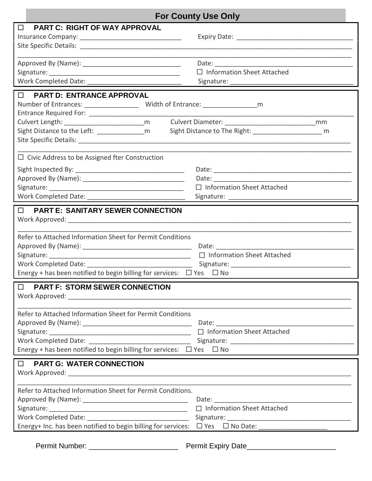| <b>For County Use Only</b>                                                                                                                                                                                                     |                                   |  |  |  |
|--------------------------------------------------------------------------------------------------------------------------------------------------------------------------------------------------------------------------------|-----------------------------------|--|--|--|
| <b>PART C: RIGHT OF WAY APPROVAL</b><br>$\Box$                                                                                                                                                                                 |                                   |  |  |  |
|                                                                                                                                                                                                                                | $\Box$ Information Sheet Attached |  |  |  |
| D PART D: ENTRANCE APPROVAL<br>Sight Distance to the Left: ________________m   Sight Distance to The Right: __________________________ m                                                                                       |                                   |  |  |  |
| $\Box$ Civic Address to be Assigned fter Construction                                                                                                                                                                          | $\Box$ Information Sheet Attached |  |  |  |
| D PART E: SANITARY SEWER CONNECTION<br>Refer to Attached Information Sheet for Permit Conditions<br>□ Information Sheet Attached<br>Energy + has been notified to begin billing for services: $\Box$ Yes $\Box$ No             |                                   |  |  |  |
| <b>PART F: STORM SEWER CONNECTION</b><br>$\Box$<br>Refer to Attached Information Sheet for Permit Conditions<br>Energy + has been notified to begin billing for services: $\Box$ Yes $\Box$ No                                 |                                   |  |  |  |
| D PART G: WATER CONNECTION<br>Refer to Attached Information Sheet for Permit Conditions.<br>□ Information Sheet Attached<br>Energy+ Inc. has been notified to begin billing for services: □ Yes □ No Date: ___________________ |                                   |  |  |  |
|                                                                                                                                                                                                                                |                                   |  |  |  |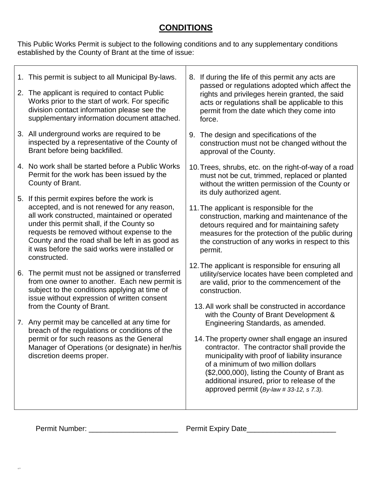# **CONDITIONS**

This Public Works Permit is subject to the following conditions and to any supplementary conditions established by the County of Brant at the time of issue:

| 1. This permit is subject to all Municipal By-laws.<br>2. The applicant is required to contact Public<br>Works prior to the start of work. For specific<br>division contact information please see the<br>supplementary information document attached.                                                                                                       | 8.                                                                                                                                                                                                                      | If during the life of this permit any acts are<br>passed or regulations adopted which affect the<br>rights and privileges herein granted, the said<br>acts or regulations shall be applicable to this<br>permit from the date which they come into<br>force.                                                                                                                                                        |
|--------------------------------------------------------------------------------------------------------------------------------------------------------------------------------------------------------------------------------------------------------------------------------------------------------------------------------------------------------------|-------------------------------------------------------------------------------------------------------------------------------------------------------------------------------------------------------------------------|---------------------------------------------------------------------------------------------------------------------------------------------------------------------------------------------------------------------------------------------------------------------------------------------------------------------------------------------------------------------------------------------------------------------|
| 3. All underground works are required to be<br>inspected by a representative of the County of<br>Brant before being backfilled.                                                                                                                                                                                                                              |                                                                                                                                                                                                                         | 9. The design and specifications of the<br>construction must not be changed without the<br>approval of the County.                                                                                                                                                                                                                                                                                                  |
| 4. No work shall be started before a Public Works<br>Permit for the work has been issued by the<br>County of Brant.                                                                                                                                                                                                                                          |                                                                                                                                                                                                                         | 10. Trees, shrubs, etc. on the right-of-way of a road<br>must not be cut, trimmed, replaced or planted<br>without the written permission of the County or<br>its duly authorized agent.                                                                                                                                                                                                                             |
| 5. If this permit expires before the work is<br>accepted, and is not renewed for any reason,<br>all work constructed, maintained or operated<br>under this permit shall, if the County so<br>requests be removed without expense to the<br>County and the road shall be left in as good as<br>it was before the said works were installed or<br>constructed. |                                                                                                                                                                                                                         | 11. The applicant is responsible for the<br>construction, marking and maintenance of the<br>detours required and for maintaining safety<br>measures for the protection of the public during<br>the construction of any works in respect to this<br>permit.                                                                                                                                                          |
| 6. The permit must not be assigned or transferred<br>from one owner to another. Each new permit is<br>subject to the conditions applying at time of<br>issue without expression of written consent<br>from the County of Brant.                                                                                                                              | 12. The applicant is responsible for ensuring all<br>utility/service locates have been completed and<br>are valid, prior to the commencement of the<br>construction.<br>13. All work shall be constructed in accordance |                                                                                                                                                                                                                                                                                                                                                                                                                     |
| 7. Any permit may be cancelled at any time for<br>breach of the regulations or conditions of the<br>permit or for such reasons as the General<br>Manager of Operations (or designate) in her/his<br>discretion deems proper.                                                                                                                                 |                                                                                                                                                                                                                         | with the County of Brant Development &<br>Engineering Standards, as amended.<br>14. The property owner shall engage an insured<br>contractor. The contractor shall provide the<br>municipality with proof of liability insurance<br>of a minimum of two million dollars<br>(\$2,000,000), listing the County of Brant as<br>additional insured, prior to release of the<br>approved permit (By-law # 33-12, s 7.3). |

 $\leftrightarrow$ 

Permit Number: \_\_\_\_\_\_\_\_\_\_\_\_\_\_\_\_\_\_\_\_\_\_ Permit Expiry Date\_\_\_\_\_\_\_\_\_\_\_\_\_\_\_\_\_\_\_\_\_\_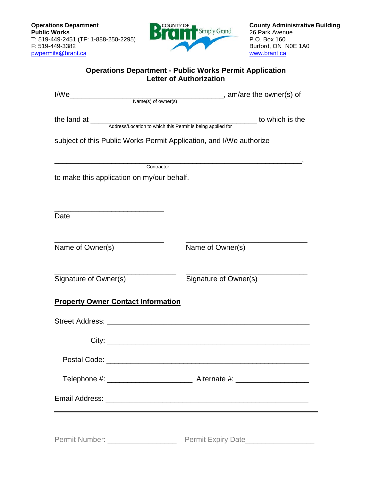

## **Operations Department - Public Works Permit Application Letter of Authorization**

|                                                                     | to which is the       |  |  |  |  |  |
|---------------------------------------------------------------------|-----------------------|--|--|--|--|--|
| subject of this Public Works Permit Application, and I/We authorize |                       |  |  |  |  |  |
|                                                                     | Contractor            |  |  |  |  |  |
| to make this application on my/our behalf.                          |                       |  |  |  |  |  |
|                                                                     |                       |  |  |  |  |  |
| Date                                                                |                       |  |  |  |  |  |
| Name of Owner(s)                                                    | Name of Owner(s)      |  |  |  |  |  |
| Signature of Owner(s)                                               | Signature of Owner(s) |  |  |  |  |  |
| <b>Property Owner Contact Information</b>                           |                       |  |  |  |  |  |
|                                                                     |                       |  |  |  |  |  |
|                                                                     |                       |  |  |  |  |  |
| Postal Code:                                                        |                       |  |  |  |  |  |
|                                                                     |                       |  |  |  |  |  |
|                                                                     |                       |  |  |  |  |  |
|                                                                     |                       |  |  |  |  |  |
| Permit Number: ____________________                                 |                       |  |  |  |  |  |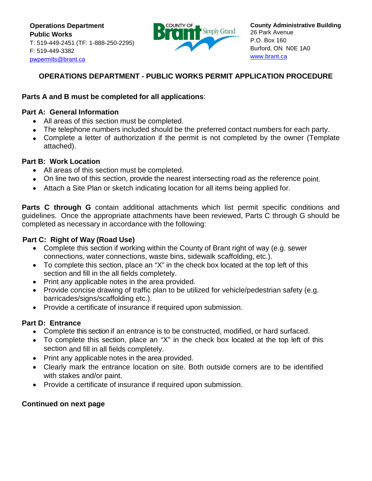**Operations Department Public Works** T: 519-449-2451 (TF: 1-888-250-2295) F: 519-449-3382 pwpermit[s@brant.ca](mailto:publicworks@brant.ca)



## **OPERATIONS DEPARTMENT - PUBLIC WORKS PERMIT APPLICATION PROCEDURE**

## **Parts A and B must be completed for all applications**:

### **Part A: General Information**

- All areas of this section must be completed.
- The telephone numbers included should be the preferred contact numbers for each party.
- Complete a letter of authorization if the permit is not completed by the owner (Template attached).

### **Part B: Work Location**

- All areas of this section must be completed.
- On line two of this section, provide the nearest intersecting road as the reference point.
- Attach a Site Plan or sketch indicating location for all items being applied for.

**Parts C through G** contain additional attachments which list permit specific conditions and guidelines. Once the appropriate attachments have been reviewed, Parts C through G should be completed as necessary in accordance with the following:

## **.Part C: Right of Way (Road Use)**

- Complete this section if working within the County of Brant right of way (e.g. sewer connections, water connections, waste bins, sidewalk scaffolding, etc.).
- To complete this section, place an "X" in the check box located at the top left of this section and fill in the all fields completely.
- Print any applicable notes in the area provided.
- Provide concise drawing of traffic plan to be utilized for vehicle/pedestrian safety (e.g. barricades/signs/scaffolding etc.).
- Provide a certificate of insurance if required upon submission.

## **Part D: Entrance**

- Complete this section if an entrance is to be constructed, modified, or hard surfaced.
- To complete this section, place an "X" in the check box located at the top left of this section and fill in all fields completely.
- Print any applicable notes in the area provided.
- Clearly mark the entrance location on site. Both outside corners are to be identified with stakes and/or paint.
- Provide a certificate of insurance if required upon submission.

## **Continued on next page**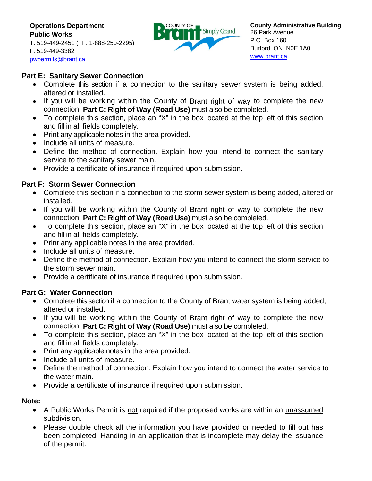**Operations Department Public Works** T: 519-449-2451 (TF: 1-888-250-2295) F: 519-449-3382 pwpermit[s@brant.ca](mailto:publicworks@brant.ca)



## **Part E: Sanitary Sewer Connection**

- Complete this section if a connection to the sanitary sewer system is being added, altered or installed.
- If you will be working within the County of Brant right of way to complete the new connection, **Part C: Right of Way (Road Use)** must also be completed.
- To complete this section, place an "X" in the box located at the top left of this section and fill in all fields completely.
- Print any applicable notes in the area provided.
- Include all units of measure.
- Define the method of connection. Explain how you intend to connect the sanitary service to the sanitary sewer main.
- Provide a certificate of insurance if required upon submission.

## **Part F: Storm Sewer Connection**

- Complete this section if a connection to the storm sewer system is being added, altered or installed.
- If you will be working within the County of Brant right of way to complete the new connection, **Part C: Right of Way (Road Use)** must also be completed.
- To complete this section, place an "X" in the box located at the top left of this section and fill in all fields completely.
- Print any applicable notes in the area provided.
- Include all units of measure.
- Define the method of connection. Explain how you intend to connect the storm service to the storm sewer main.
- Provide a certificate of insurance if required upon submission.

### **Part G: Water Connection**

- Complete this section if a connection to the County of Brant water system is being added, altered or installed.
- If you will be working within the County of Brant right of way to complete the new connection, **Part C: Right of Way (Road Use)** must also be completed.
- To complete this section, place an "X" in the box located at the top left of this section and fill in all fields completely.
- Print any applicable notes in the area provided.
- Include all units of measure.
- Define the method of connection. Explain how you intend to connect the water service to the water main.
- Provide a certificate of insurance if required upon submission.

### **Note:**

- A Public Works Permit is not required if the proposed works are within an unassumed subdivision.
- Please double check all the information you have provided or needed to fill out has been completed. Handing in an application that is incomplete may delay the issuance of the permit.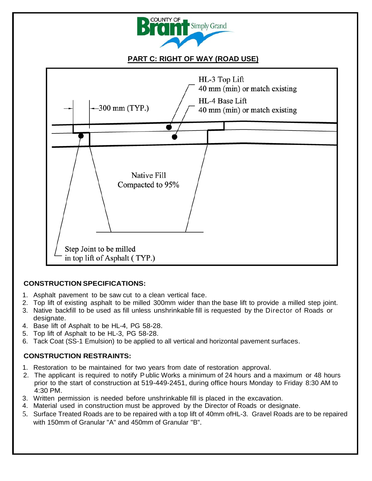

## **PART C: RIGHT OF WAY (ROAD USE)**



### **CONSTRUCTION SPECIFICATIONS:**

- 1. Asphalt pavement to be saw cut to a clean vertical face.
- 2. Top lift of existing asphalt to be milled 300mm wider than the base lift to provide a milled step joint.
- 3. Native backfill to be used as fill unless unshrinkable fill is requested by the Director of Roads or designate.
- 4. Base lift of Asphalt to be HL-4, PG 58-28.
- 5. Top lift of Asphalt to be HL-3, PG 58-28.
- 6. Tack Coat (SS-1 Emulsion) to be applied to all vertical and horizontal pavement surfaces.

## **CONSTRUCTION RESTRAINTS:**

- 1. Restoration to be maintained for two years from date of restoration approval.
- 2. The applicant is required to notify Public Works a minimum of 24 hours and a maximum or 48 hours prior to the start of construction at 519-449-2451, during office hours Monday to Friday 8:30 AM to 4:30 PM.
- 3. Written permission is needed before unshrinkable fill is placed in the excavation.
- 4. Material used in construction must be approved by the Director of Roads or designate.
- 5. Surface Treated Roads are to be repaired with a top lift of 40mm ofHL-3. Gravel Roads are to be repaired with 150mm of Granular "A" and 450mm of Granular "B".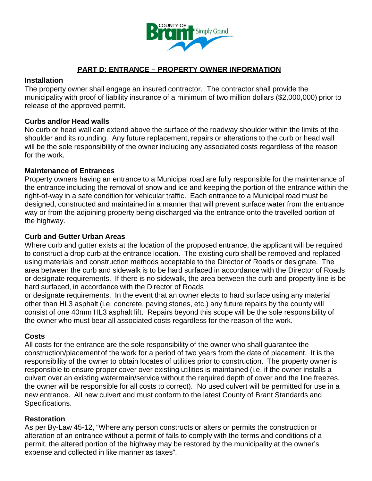

## **PART D: ENTRANCE – PROPERTY OWNER INFORMATION**

### **Installation**

The property owner shall engage an insured contractor. The contractor shall provide the municipality with proof of liability insurance of a minimum of two million dollars (\$2,000,000) prior to release of the approved permit.

### **Curbs and/or Head walls**

No curb or head wall can extend above the surface of the roadway shoulder within the limits of the shoulder and its rounding. Any future replacement, repairs or alterations to the curb or head wall will be the sole responsibility of the owner including any associated costs regardless of the reason for the work.

### **Maintenance of Entrances**

Property owners having an entrance to a Municipal road are fully responsible for the maintenance of the entrance including the removal of snow and ice and keeping the portion of the entrance within the right-of-way in a safe condition for vehicular traffic. Each entrance to a Municipal road must be designed, constructed and maintained in a manner that will prevent surface water from the entrance way or from the adjoining property being discharged via the entrance onto the travelled portion of the highway.

### **Curb and Gutter Urban Areas**

Where curb and gutter exists at the location of the proposed entrance, the applicant will be required to construct a drop curb at the entrance location. The existing curb shall be removed and replaced using materials and construction methods acceptable to the Director of Roads or designate. The area between the curb and sidewalk is to be hard surfaced in accordance with the Director of Roads or designate requirements. If there is no sidewalk, the area between the curb and property line is be hard surfaced, in accordance with the Director of Roads

or designate requirements. In the event that an owner elects to hard surface using any material other than HL3 asphalt (i.e. concrete, paving stones, etc.) any future repairs by the county will consist of one 40mm HL3 asphalt lift. Repairs beyond this scope will be the sole responsibility of the owner who must bear all associated costs regardless for the reason of the work.

## **Costs**

All costs for the entrance are the sole responsibility of the owner who shall guarantee the construction/placement of the work for a period of two years from the date of placement. It is the responsibility of the owner to obtain locates of utilities prior to construction. The property owner is responsible to ensure proper cover over existing utilities is maintained (i.e. if the owner installs a culvert over an existing watermain/service without the required depth of cover and the line freezes, the owner will be responsible for all costs to correct). No used culvert will be permitted for use in a new entrance. All new culvert and must conform to the latest County of Brant Standards and Specifications.

## **Restoration**

As per By-Law 45-12, "Where any person constructs or alters or permits the construction or alteration of an entrance without a permit of fails to comply with the terms and conditions of a permit, the altered portion of the highway may be restored by the municipality at the owner's expense and collected in like manner as taxes".